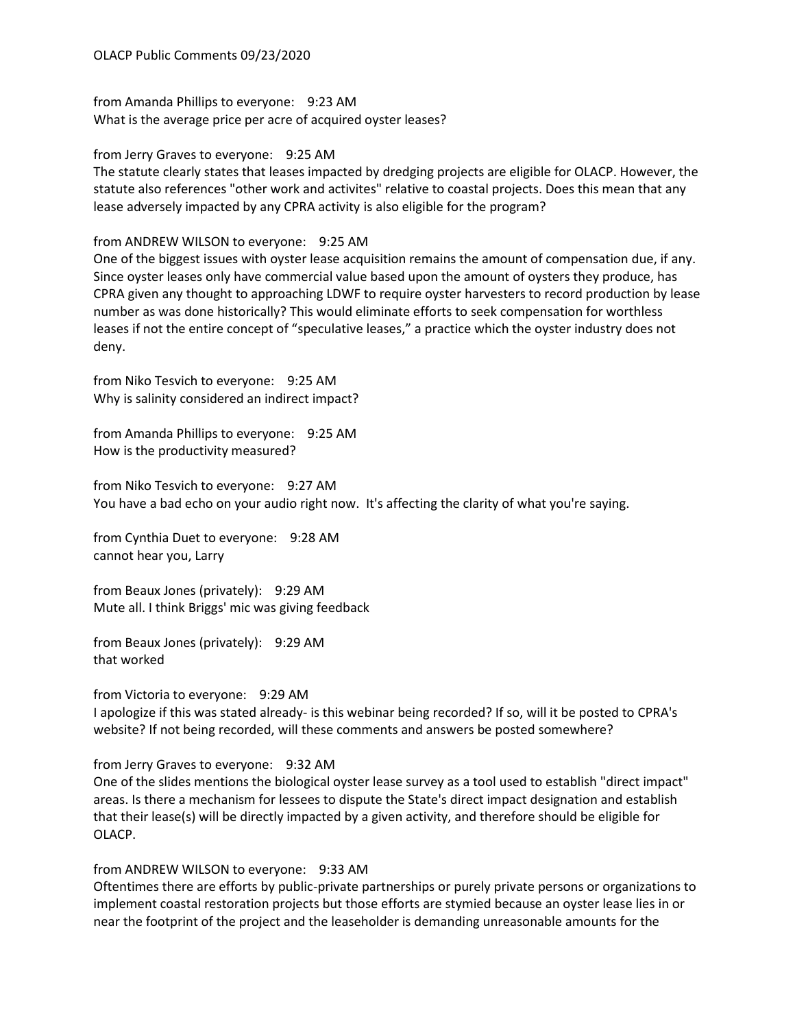from Amanda Phillips to everyone: 9:23 AM What is the average price per acre of acquired oyster leases?

from Jerry Graves to everyone: 9:25 AM

The statute clearly states that leases impacted by dredging projects are eligible for OLACP. However, the statute also references "other work and activites" relative to coastal projects. Does this mean that any lease adversely impacted by any CPRA activity is also eligible for the program?

from ANDREW WILSON to everyone: 9:25 AM

One of the biggest issues with oyster lease acquisition remains the amount of compensation due, if any. Since oyster leases only have commercial value based upon the amount of oysters they produce, has CPRA given any thought to approaching LDWF to require oyster harvesters to record production by lease number as was done historically? This would eliminate efforts to seek compensation for worthless leases if not the entire concept of "speculative leases," a practice which the oyster industry does not deny.

from Niko Tesvich to everyone: 9:25 AM Why is salinity considered an indirect impact?

from Amanda Phillips to everyone: 9:25 AM How is the productivity measured?

from Niko Tesvich to everyone: 9:27 AM You have a bad echo on your audio right now. It's affecting the clarity of what you're saying.

from Cynthia Duet to everyone: 9:28 AM cannot hear you, Larry

from Beaux Jones (privately): 9:29 AM Mute all. I think Briggs' mic was giving feedback

from Beaux Jones (privately): 9:29 AM that worked

from Victoria to everyone: 9:29 AM

I apologize if this was stated already- is this webinar being recorded? If so, will it be posted to CPRA's website? If not being recorded, will these comments and answers be posted somewhere?

from Jerry Graves to everyone: 9:32 AM

One of the slides mentions the biological oyster lease survey as a tool used to establish "direct impact" areas. Is there a mechanism for lessees to dispute the State's direct impact designation and establish that their lease(s) will be directly impacted by a given activity, and therefore should be eligible for OLACP.

## from ANDREW WILSON to everyone: 9:33 AM

Oftentimes there are efforts by public-private partnerships or purely private persons or organizations to implement coastal restoration projects but those efforts are stymied because an oyster lease lies in or near the footprint of the project and the leaseholder is demanding unreasonable amounts for the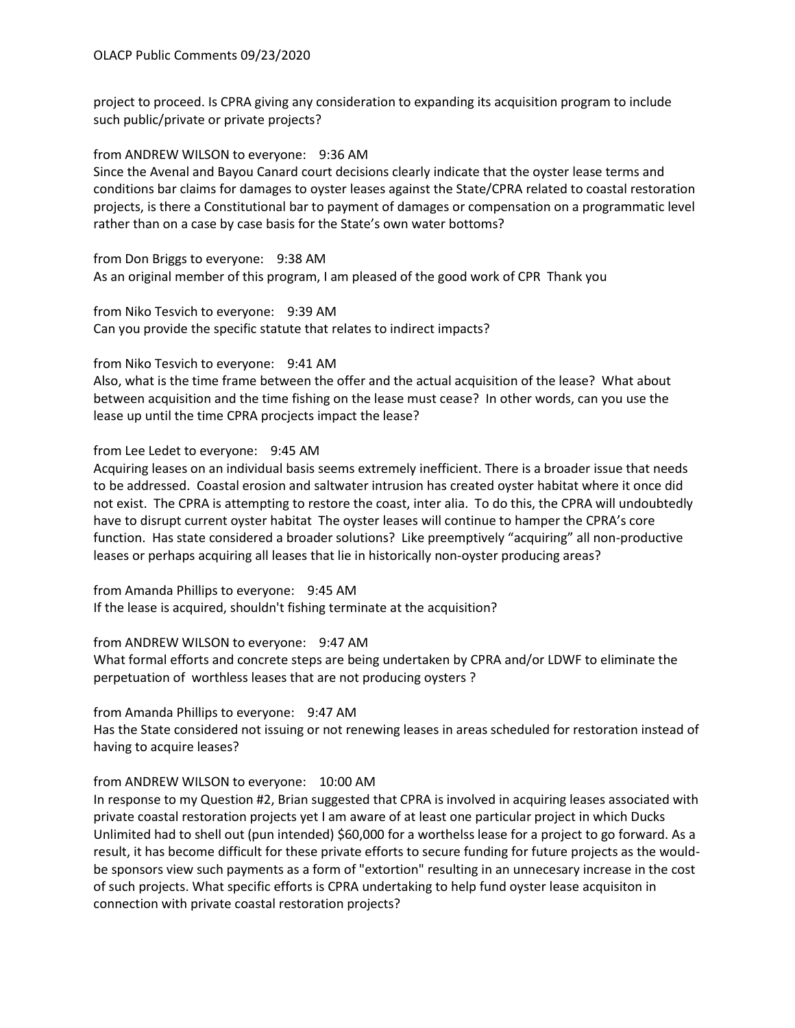project to proceed. Is CPRA giving any consideration to expanding its acquisition program to include such public/private or private projects?

## from ANDREW WILSON to everyone: 9:36 AM

Since the Avenal and Bayou Canard court decisions clearly indicate that the oyster lease terms and conditions bar claims for damages to oyster leases against the State/CPRA related to coastal restoration projects, is there a Constitutional bar to payment of damages or compensation on a programmatic level rather than on a case by case basis for the State's own water bottoms?

from Don Briggs to everyone: 9:38 AM As an original member of this program, I am pleased of the good work of CPR Thank you

from Niko Tesvich to everyone: 9:39 AM Can you provide the specific statute that relates to indirect impacts?

## from Niko Tesvich to everyone: 9:41 AM

Also, what is the time frame between the offer and the actual acquisition of the lease? What about between acquisition and the time fishing on the lease must cease? In other words, can you use the lease up until the time CPRA procjects impact the lease?

from Lee Ledet to everyone: 9:45 AM

Acquiring leases on an individual basis seems extremely inefficient. There is a broader issue that needs to be addressed. Coastal erosion and saltwater intrusion has created oyster habitat where it once did not exist. The CPRA is attempting to restore the coast, inter alia. To do this, the CPRA will undoubtedly have to disrupt current oyster habitat The oyster leases will continue to hamper the CPRA's core function. Has state considered a broader solutions? Like preemptively "acquiring" all non-productive leases or perhaps acquiring all leases that lie in historically non-oyster producing areas?

from Amanda Phillips to everyone: 9:45 AM If the lease is acquired, shouldn't fishing terminate at the acquisition?

from ANDREW WILSON to everyone: 9:47 AM

What formal efforts and concrete steps are being undertaken by CPRA and/or LDWF to eliminate the perpetuation of worthless leases that are not producing oysters ?

from Amanda Phillips to everyone: 9:47 AM

Has the State considered not issuing or not renewing leases in areas scheduled for restoration instead of having to acquire leases?

## from ANDREW WILSON to everyone: 10:00 AM

In response to my Question #2, Brian suggested that CPRA is involved in acquiring leases associated with private coastal restoration projects yet I am aware of at least one particular project in which Ducks Unlimited had to shell out (pun intended) \$60,000 for a worthelss lease for a project to go forward. As a result, it has become difficult for these private efforts to secure funding for future projects as the wouldbe sponsors view such payments as a form of "extortion" resulting in an unnecesary increase in the cost of such projects. What specific efforts is CPRA undertaking to help fund oyster lease acquisiton in connection with private coastal restoration projects?